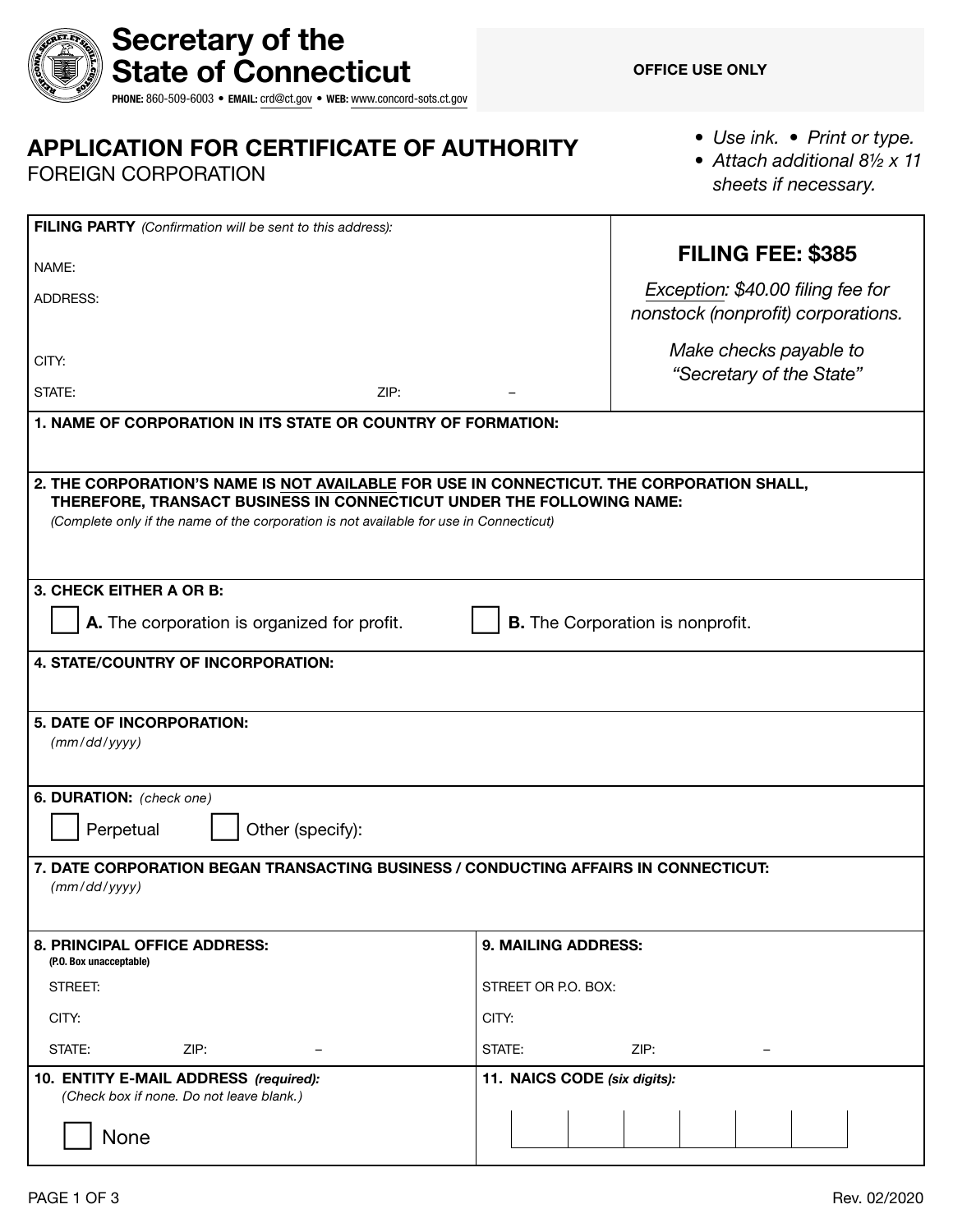|  | Secretary of the                                                       |  |  |  |  |  |  |
|--|------------------------------------------------------------------------|--|--|--|--|--|--|
|  | <b>《⑤③③》 State of Connecticut</b>                                      |  |  |  |  |  |  |
|  | PHONE: 860-509-6003 · EMAIL: crd@ct.gov · WEB: www.concord-sots.ct.gov |  |  |  |  |  |  |

# APPLICATION FOR CERTIFICATE OF AUTHORITY

FOREIGN CORPORATION

*• Use ink. • Print or type.*

• Attach additional 8<sup>1/2</sup> x 11 *sheets if necessary.*

| FILING PARTY (Confirmation will be sent to this address):                                                                                                                                                                                                    |                                                                         |  |  |  |  |  |
|--------------------------------------------------------------------------------------------------------------------------------------------------------------------------------------------------------------------------------------------------------------|-------------------------------------------------------------------------|--|--|--|--|--|
| NAME:                                                                                                                                                                                                                                                        | FILING FEE: \$385                                                       |  |  |  |  |  |
| ADDRESS:                                                                                                                                                                                                                                                     | Exception: \$40.00 filing fee for<br>nonstock (nonprofit) corporations. |  |  |  |  |  |
| CITY:                                                                                                                                                                                                                                                        | Make checks payable to<br>"Secretary of the State"                      |  |  |  |  |  |
| STATE:<br>ZIP:                                                                                                                                                                                                                                               |                                                                         |  |  |  |  |  |
| 1. NAME OF CORPORATION IN ITS STATE OR COUNTRY OF FORMATION:                                                                                                                                                                                                 |                                                                         |  |  |  |  |  |
|                                                                                                                                                                                                                                                              |                                                                         |  |  |  |  |  |
| 2. THE CORPORATION'S NAME IS NOT AVAILABLE FOR USE IN CONNECTICUT. THE CORPORATION SHALL,<br>THEREFORE, TRANSACT BUSINESS IN CONNECTICUT UNDER THE FOLLOWING NAME:<br>(Complete only if the name of the corporation is not available for use in Connecticut) |                                                                         |  |  |  |  |  |
| 3. CHECK EITHER A OR B:                                                                                                                                                                                                                                      |                                                                         |  |  |  |  |  |
| A. The corporation is organized for profit.                                                                                                                                                                                                                  | <b>B.</b> The Corporation is nonprofit.                                 |  |  |  |  |  |
| 4. STATE/COUNTRY OF INCORPORATION:                                                                                                                                                                                                                           |                                                                         |  |  |  |  |  |
|                                                                                                                                                                                                                                                              |                                                                         |  |  |  |  |  |
| 5. DATE OF INCORPORATION:<br>(mm/dd/yyyy)                                                                                                                                                                                                                    |                                                                         |  |  |  |  |  |
| 6. DURATION: (check one)<br>Perpetual<br>Other (specify):                                                                                                                                                                                                    |                                                                         |  |  |  |  |  |
| 7. DATE CORPORATION BEGAN TRANSACTING BUSINESS / CONDUCTING AFFAIRS IN CONNECTICUT:<br>(mm/dd/yyyy)                                                                                                                                                          |                                                                         |  |  |  |  |  |
| 8. PRINCIPAL OFFICE ADDRESS:<br>(P.O. Box unacceptable)                                                                                                                                                                                                      | 9. MAILING ADDRESS:                                                     |  |  |  |  |  |
| STREET:                                                                                                                                                                                                                                                      | STREET OR P.O. BOX:                                                     |  |  |  |  |  |
| CITY:                                                                                                                                                                                                                                                        | CITY:                                                                   |  |  |  |  |  |
| STATE:<br>ZIP:                                                                                                                                                                                                                                               | STATE:<br>ZIP:                                                          |  |  |  |  |  |
| 10. ENTITY E-MAIL ADDRESS (required):<br>(Check box if none. Do not leave blank.)                                                                                                                                                                            | 11. NAICS CODE (six digits):                                            |  |  |  |  |  |
| None                                                                                                                                                                                                                                                         |                                                                         |  |  |  |  |  |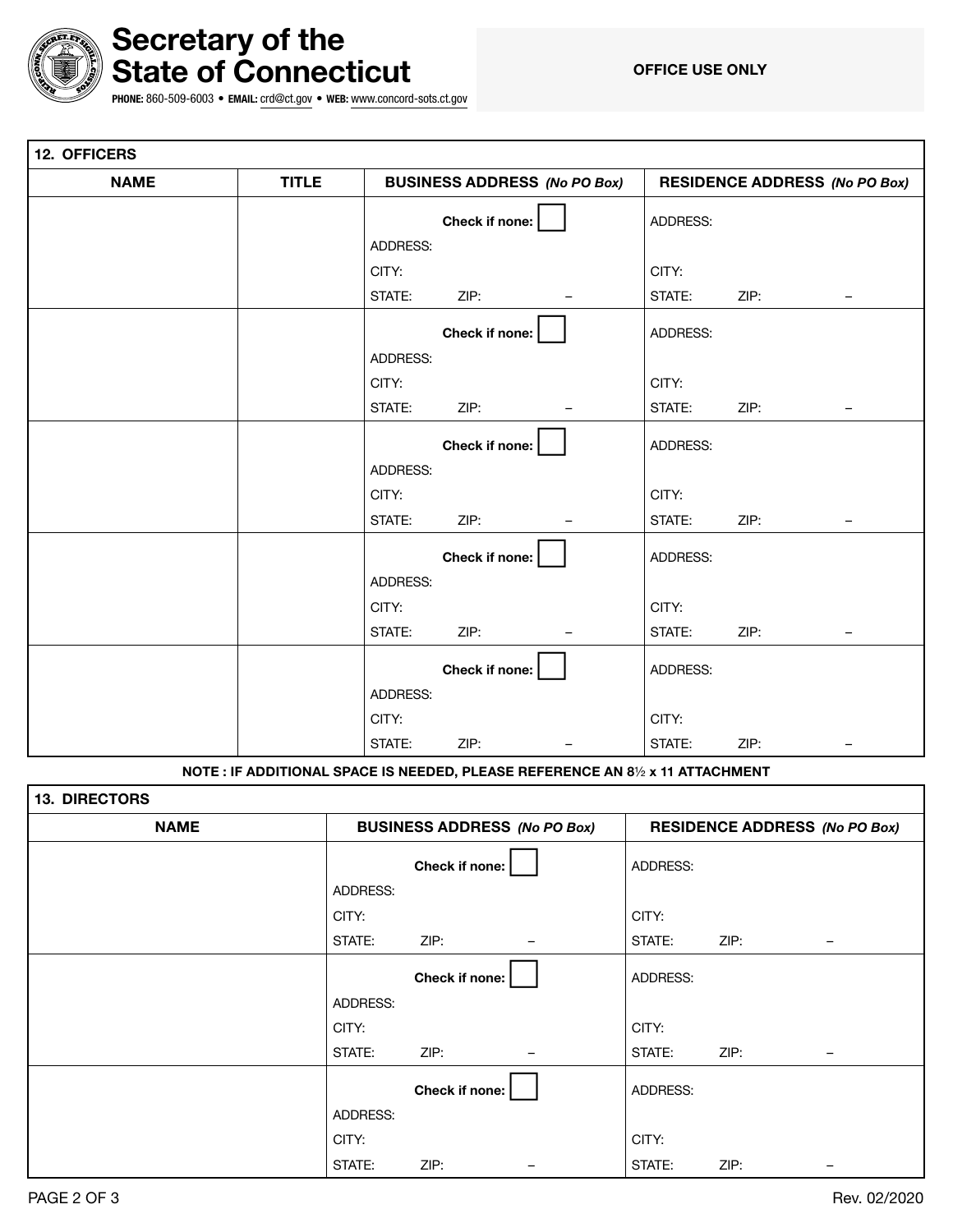

# Secretary of the State of Connecticut

OFFICE USE ONLY

PHONE: 860-509-6003 • EMAIL: [crd@ct.gov](mailto:crd@ct.gov) • WEB: [www.concord-sots.ct.gov](http://www.concord-sots.ct.gov)

| 12. OFFICERS |              |                                     |                |                   |                                      |      |                          |
|--------------|--------------|-------------------------------------|----------------|-------------------|--------------------------------------|------|--------------------------|
| <b>NAME</b>  | <b>TITLE</b> | <b>BUSINESS ADDRESS (No PO Box)</b> |                |                   | <b>RESIDENCE ADDRESS (No PO Box)</b> |      |                          |
|              |              |                                     | Check if none: |                   | ADDRESS:                             |      |                          |
|              |              | ADDRESS:                            |                |                   |                                      |      |                          |
|              |              | CITY:                               |                |                   | CITY:                                |      |                          |
|              |              | STATE:                              | ZIP:           | <b>-</b>          | STATE:                               | ZIP: | $\overline{\phantom{m}}$ |
|              |              |                                     | Check if none: |                   | ADDRESS:                             |      |                          |
|              |              | ADDRESS:                            |                |                   |                                      |      |                          |
|              |              | CITY:                               |                |                   | CITY:                                |      |                          |
|              |              | STATE:                              | ZIP:           | $\qquad \qquad -$ | STATE:                               | ZIP: | $-$                      |
|              |              |                                     | Check if none: |                   | ADDRESS:                             |      |                          |
|              |              | ADDRESS:                            |                |                   |                                      |      |                          |
|              |              | CITY:                               |                |                   | CITY:                                |      |                          |
|              |              | STATE:                              | ZIP:           |                   | STATE:                               | ZIP: | $\qquad \qquad -$        |
|              |              |                                     | Check if none: |                   | ADDRESS:                             |      |                          |
|              |              | ADDRESS:                            |                |                   |                                      |      |                          |
|              |              | CITY:                               |                |                   | CITY:                                |      |                          |
|              |              | STATE:                              | ZIP:           |                   | STATE:                               | ZIP: | $\overline{\phantom{0}}$ |
|              |              |                                     | Check if none: |                   | ADDRESS:                             |      |                          |
|              |              | ADDRESS:                            |                |                   |                                      |      |                          |
|              |              | CITY:                               |                |                   | CITY:                                |      |                          |
|              |              | STATE:                              | ZIP:           | $\qquad \qquad -$ | STATE:                               | ZIP: | $\overline{\phantom{m}}$ |

NOTE : IF ADDITIONAL SPACE IS NEEDED, PLEASE REFERENCE AN 8½ x 11 ATTACHMENT

| <b>13. DIRECTORS</b> |                                     |                |  |                                      |      |  |  |
|----------------------|-------------------------------------|----------------|--|--------------------------------------|------|--|--|
| <b>NAME</b>          | <b>BUSINESS ADDRESS (No PO Box)</b> |                |  | <b>RESIDENCE ADDRESS (No PO Box)</b> |      |  |  |
|                      |                                     | Check if none: |  | ADDRESS:                             |      |  |  |
|                      | ADDRESS:                            |                |  |                                      |      |  |  |
|                      | CITY:                               |                |  | CITY:                                |      |  |  |
|                      | STATE:                              | ZIP:           |  | STATE:                               | ZIP: |  |  |
|                      |                                     | Check if none: |  | ADDRESS:                             |      |  |  |
|                      | ADDRESS:                            |                |  |                                      |      |  |  |
|                      | CITY:                               |                |  | CITY:                                |      |  |  |
|                      | STATE:                              | ZIP:           |  | STATE:                               | ZIP: |  |  |
|                      |                                     | Check if none: |  | ADDRESS:                             |      |  |  |
|                      | ADDRESS:                            |                |  |                                      |      |  |  |
|                      | CITY:                               |                |  | CITY:                                |      |  |  |
|                      | STATE:                              | ZIP:           |  | STATE:                               | ZIP: |  |  |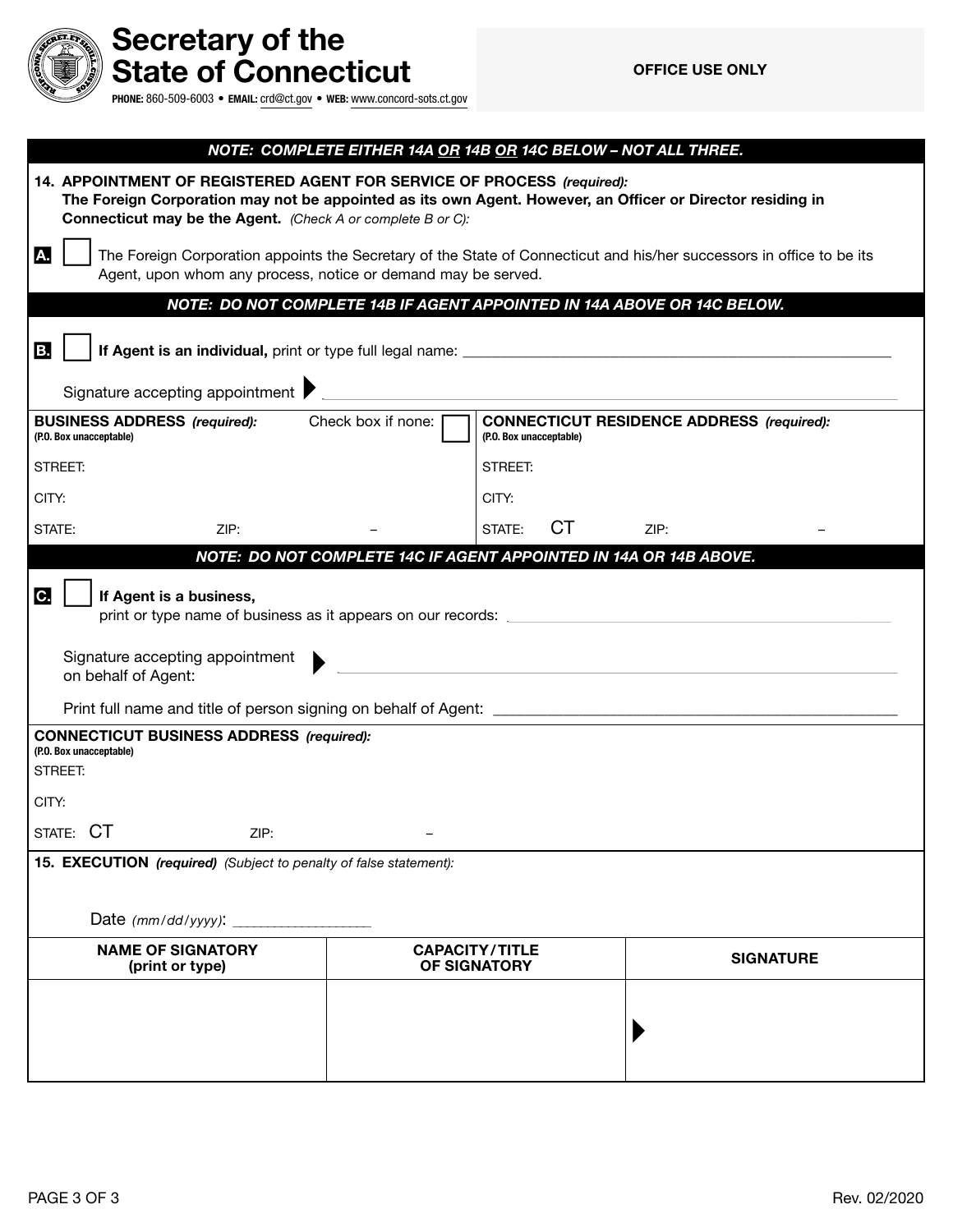

# Secretary of the State of Connecticut

PHONE: 860-509-6003 • EMAIL: [crd@ct.gov](mailto:crd@ct.gov) • WEB: [www.concord-sots.ct.gov](http://www.concord-sots.ct.gov)

|                                                                                                    | NOTE: COMPLETE EITHER 14A OR 14B OR 14C BELOW - NOT ALL THREE.                                                                                                                                                                                             |  |                                                                                                                      |                  |  |  |  |
|----------------------------------------------------------------------------------------------------|------------------------------------------------------------------------------------------------------------------------------------------------------------------------------------------------------------------------------------------------------------|--|----------------------------------------------------------------------------------------------------------------------|------------------|--|--|--|
|                                                                                                    | 14. APPOINTMENT OF REGISTERED AGENT FOR SERVICE OF PROCESS (required):<br>The Foreign Corporation may not be appointed as its own Agent. However, an Officer or Director residing in<br><b>Connecticut may be the Agent.</b> (Check A or complete B or C): |  |                                                                                                                      |                  |  |  |  |
| A.                                                                                                 | The Foreign Corporation appoints the Secretary of the State of Connecticut and his/her successors in office to be its<br>Agent, upon whom any process, notice or demand may be served.                                                                     |  |                                                                                                                      |                  |  |  |  |
|                                                                                                    | NOTE: DO NOT COMPLETE 14B IF AGENT APPOINTED IN 14A ABOVE OR 14C BELOW.                                                                                                                                                                                    |  |                                                                                                                      |                  |  |  |  |
| B.                                                                                                 |                                                                                                                                                                                                                                                            |  |                                                                                                                      |                  |  |  |  |
|                                                                                                    | Signature accepting appointment                                                                                                                                                                                                                            |  | <u> 1980 - Jan Barat, martin da shekarar 1980 - An tsa a tsa a tsa a tsa a tsa a tsa a tsa a tsa a tsa a tsa a t</u> |                  |  |  |  |
|                                                                                                    | <b>BUSINESS ADDRESS</b> (required): Check box if none:<br><b>CONNECTICUT RESIDENCE ADDRESS (required):</b><br>(P.O. Box unacceptable)<br>(P.O. Box unacceptable)                                                                                           |  |                                                                                                                      |                  |  |  |  |
| STREET:                                                                                            |                                                                                                                                                                                                                                                            |  | STREET:                                                                                                              |                  |  |  |  |
| CITY:                                                                                              |                                                                                                                                                                                                                                                            |  | CITY:                                                                                                                |                  |  |  |  |
| STATE:                                                                                             | ZIP:                                                                                                                                                                                                                                                       |  | <b>CT</b><br>STATE:                                                                                                  | ZIP:             |  |  |  |
| NOTE: DO NOT COMPLETE 14C IF AGENT APPOINTED IN 14A OR 14B ABOVE.<br>C.<br>If Agent is a business, |                                                                                                                                                                                                                                                            |  |                                                                                                                      |                  |  |  |  |
|                                                                                                    | Signature accepting appointment<br>on behalf of Agent:                                                                                                                                                                                                     |  |                                                                                                                      |                  |  |  |  |
|                                                                                                    |                                                                                                                                                                                                                                                            |  |                                                                                                                      |                  |  |  |  |
| <b>CONNECTICUT BUSINESS ADDRESS (required):</b><br>(P.O. Box unacceptable)<br>STREET:<br>CITY:     |                                                                                                                                                                                                                                                            |  |                                                                                                                      |                  |  |  |  |
|                                                                                                    | STATE: CT<br>ZIP:                                                                                                                                                                                                                                          |  |                                                                                                                      |                  |  |  |  |
| 15. EXECUTION (required) (Subject to penalty of false statement):                                  |                                                                                                                                                                                                                                                            |  |                                                                                                                      |                  |  |  |  |
|                                                                                                    |                                                                                                                                                                                                                                                            |  |                                                                                                                      |                  |  |  |  |
| <b>NAME OF SIGNATORY</b><br>(print or type)                                                        |                                                                                                                                                                                                                                                            |  | <b>CAPACITY/TITLE</b><br>OF SIGNATORY                                                                                | <b>SIGNATURE</b> |  |  |  |
|                                                                                                    |                                                                                                                                                                                                                                                            |  |                                                                                                                      |                  |  |  |  |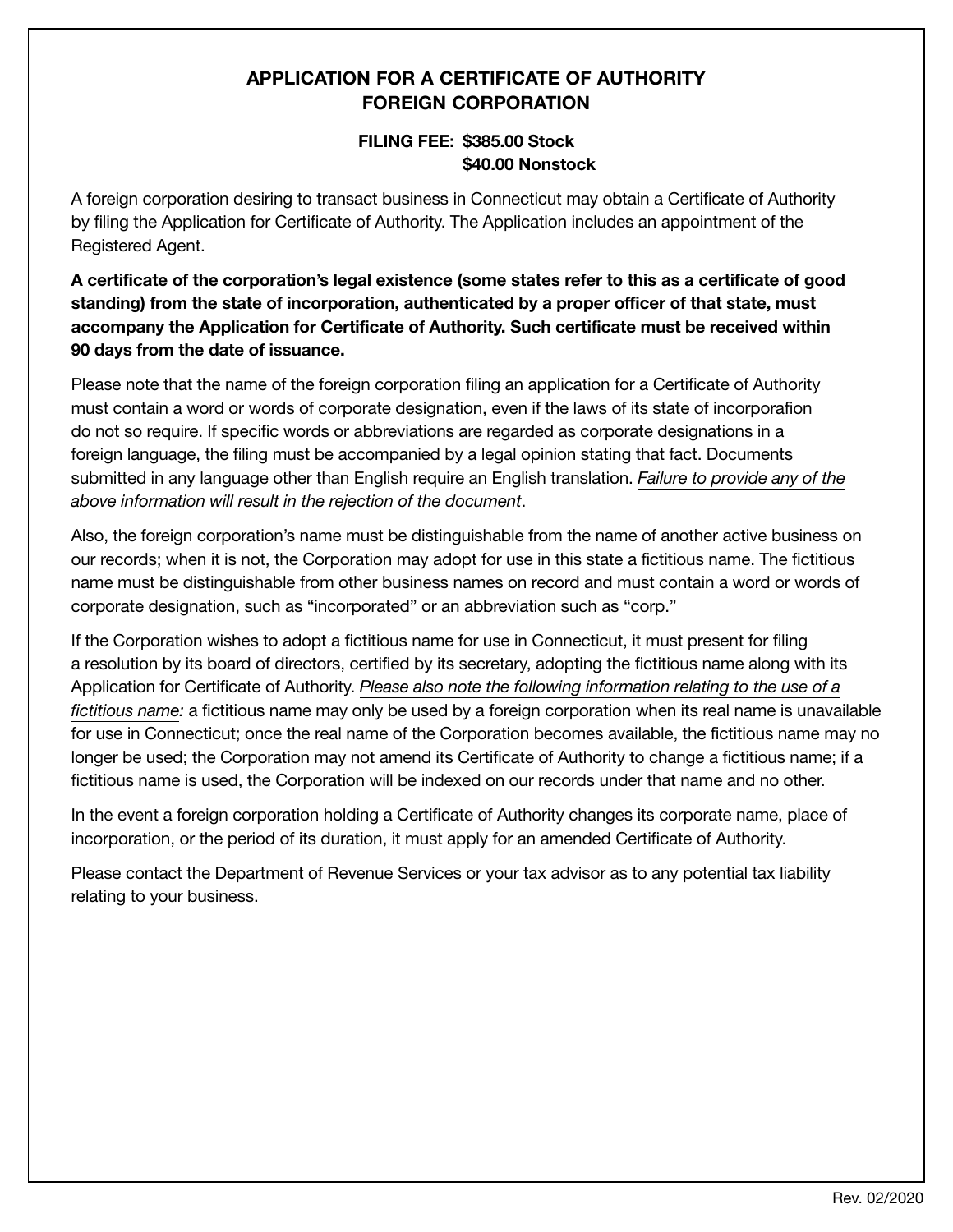## APPLICATION FOR A CERTIFICATE OF AUTHORITY FOREIGN CORPORATION

### FILING FEE: \$385.00 Stock \$40.00 Nonstock

A foreign corporation desiring to transact business in Connecticut may obtain a Certificate of Authority by filing the Application for Certificate of Authority. The Application includes an appointment of the Registered Agent.

A certificate of the corporation's legal existence (some states refer to this as a certificate of good standing) from the state of incorporation, authenticated by a proper officer of that state, must accompany the Application for Certificate of Authority. Such certificate must be received within 90 days from the date of issuance.

Please note that the name of the foreign corporation filing an application for a Certificate of Authority must contain a word or words of corporate designation, even if the laws of its state of incorporafion do not so require. If specific words or abbreviations are regarded as corporate designations in a foreign language, the filing must be accompanied by a legal opinion stating that fact. Documents submitted in any language other than English require an English translation. *Failure to provide any of the above information will result in the rejection of the document*.

Also, the foreign corporation's name must be distinguishable from the name of another active business on our records; when it is not, the Corporation may adopt for use in this state a fictitious name. The fictitious name must be distinguishable from other business names on record and must contain a word or words of corporate designation, such as "incorporated" or an abbreviation such as "corp."

If the Corporation wishes to adopt a fictitious name for use in Connecticut, it must present for filing a resolution by its board of directors, certified by its secretary, adopting the fictitious name along with its Application for Certificate of Authority. *Please also note the following information relating to the use of a fictitious name:* a fictitious name may only be used by a foreign corporation when its real name is unavailable for use in Connecticut; once the real name of the Corporation becomes available, the fictitious name may no longer be used; the Corporation may not amend its Certificate of Authority to change a fictitious name; if a fictitious name is used, the Corporation will be indexed on our records under that name and no other.

In the event a foreign corporation holding a Certificate of Authority changes its corporate name, place of incorporation, or the period of its duration, it must apply for an amended Certificate of Authority.

Please contact the Department of Revenue Services or your tax advisor as to any potential tax liability relating to your business.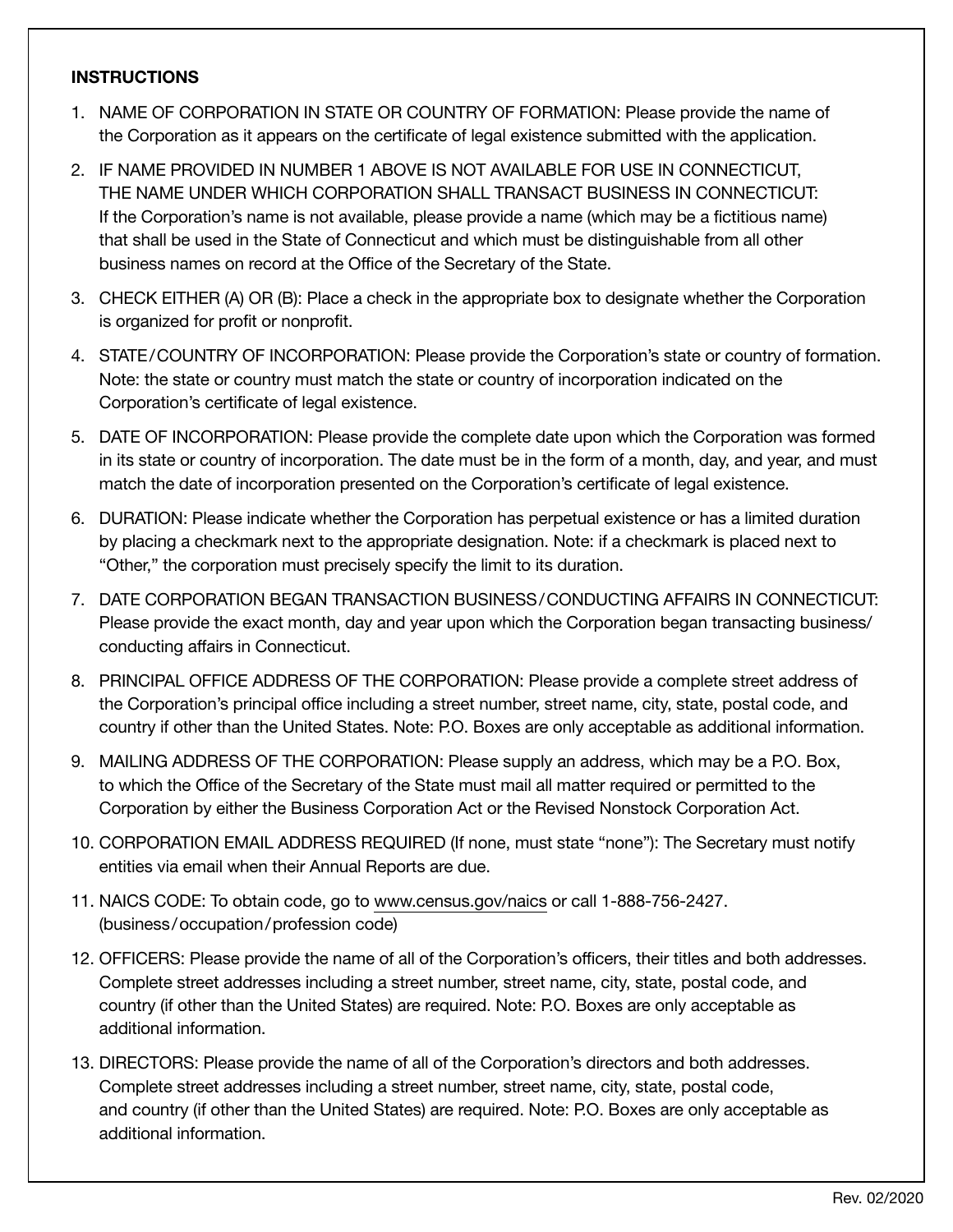#### **INSTRUCTIONS**

- 1. NAME OF CORPORATION IN STATE OR COUNTRY OF FORMATION: Please provide the name of the Corporation as it appears on the certificate of legal existence submitted with the application.
- 2. IF NAME PROVIDED IN NUMBER 1 ABOVE IS NOT AVAILABLE FOR USE IN CONNECTICUT, THE NAME UNDER WHICH CORPORATION SHALL TRANSACT BUSINESS IN CONNECTICUT: If the Corporation's name is not available, please provide a name (which may be a fictitious name) that shall be used in the State of Connecticut and which must be distinguishable from all other business names on record at the Office of the Secretary of the State.
- 3. CHECK EITHER (A) OR (B): Place a check in the appropriate box to designate whether the Corporation is organized for profit or nonprofit.
- 4. STATE/COUNTRY OF INCORPORATION: Please provide the Corporation's state or country of formation. Note: the state or country must match the state or country of incorporation indicated on the Corporation's certificate of legal existence.
- 5. DATE OF INCORPORATION: Please provide the complete date upon which the Corporation was formed in its state or country of incorporation. The date must be in the form of a month, day, and year, and must match the date of incorporation presented on the Corporation's certificate of legal existence.
- 6. DURATION: Please indicate whether the Corporation has perpetual existence or has a limited duration by placing a checkmark next to the appropriate designation. Note: if a checkmark is placed next to "Other," the corporation must precisely specify the limit to its duration.
- 7. DATE CORPORATION BEGAN TRANSACTION BUSINESS/CONDUCTING AFFAIRS IN CONNECTICUT: Please provide the exact month, day and year upon which the Corporation began transacting business/ conducting affairs in Connecticut.
- 8. PRINCIPAL OFFICE ADDRESS OF THE CORPORATION: Please provide a complete street address of the Corporation's principal office including a street number, street name, city, state, postal code, and country if other than the United States. Note: P.O. Boxes are only acceptable as additional information.
- 9. MAILING ADDRESS OF THE CORPORATION: Please supply an address, which may be a P.O. Box, to which the Office of the Secretary of the State must mail all matter required or permitted to the Corporation by either the Business Corporation Act or the Revised Nonstock Corporation Act.
- 10. CORPORATION EMAIL ADDRESS REQUIRED (If none, must state "none"): The Secretary must notify entities via email when their Annual Reports are due.
- 11. NAICS CODE: To obtain code, go to www.census.gov/naics or call 1-888-756-2427. (business/occupation/profession code)
- 12. OFFICERS: Please provide the name of all of the Corporation's officers, their titles and both addresses. Complete street addresses including a street number, street name, city, state, postal code, and country (if other than the United States) are required. Note: P.O. Boxes are only acceptable as additional information.
- 13. DIRECTORS: Please provide the name of all of the Corporation's directors and both addresses. Complete street addresses including a street number, street name, city, state, postal code, and country (if other than the United States) are required. Note: P.O. Boxes are only acceptable as additional information.